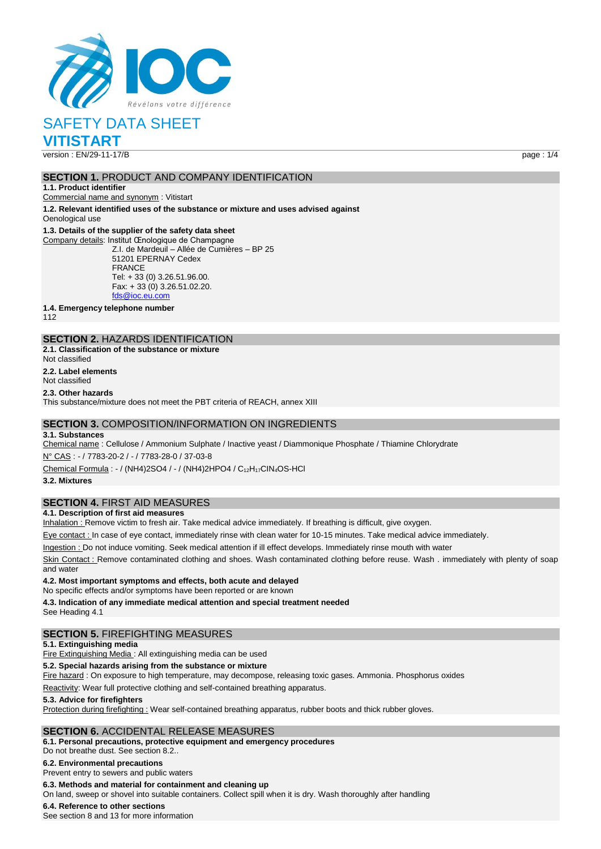

# SAFETY DATA SHEET

**VITISTART**

version : EN/29-11-17/B page : 1/4

## **SECTION 1.** PRODUCT AND COMPANY IDENTIFICATION

**1.1. Product identifier** Commercial name and synonym : Vitistart

**1.2. Relevant identified uses of the substance or mixture and uses advised against** Oenological use

#### **1.3. Details of the supplier of the safety data sheet**

Company details: Institut Œnologique de Champagne Z.I. de Mardeuil – Allée de Cumières – BP 25 51201 EPERNAY Cedex FRANCE Tel: + 33 (0) 3.26.51.96.00. Fax: + 33 (0) 3.26.51.02.20. [fds@ioc.eu.com](mailto:fds@ioc.eu.com)

**1.4. Emergency telephone number**

112

#### **SECTION 2.** HAZARDS IDENTIFICATION **2.1. Classification of the substance or mixture**

Not classified

**2.2. Label elements**

Not classified

#### **2.3. Other hazards**

This substance/mixture does not meet the PBT criteria of REACH, annex XIII

## **SECTION 3.** COMPOSITION/INFORMATION ON INGREDIENTS

#### **3.1. Substances**

Chemical name : Cellulose / Ammonium Sulphate / Inactive yeast / Diammonique Phosphate / Thiamine Chlorydrate

N° CAS : - / 7783-20-2 / - / 7783-28-0 / 37-03-8

Chemical Formula : - / (NH4)2SO4 / - / (NH4)2HPO4 / C12H17CIN4OS-HCl

**3.2. Mixtures**

## **SECTION 4.** FIRST AID MEASURES

#### **4.1. Description of first aid measures**

Inhalation : Remove victim to fresh air. Take medical advice immediately. If breathing is difficult, give oxygen.

Eye contact : In case of eye contact, immediately rinse with clean water for 10-15 minutes. Take medical advice immediately.

Ingestion : Do not induce vomiting. Seek medical attention if ill effect develops. Immediately rinse mouth with water

Skin Contact : Remove contaminated clothing and shoes. Wash contaminated clothing before reuse. Wash . immediately with plenty of soap and water

**4.2. Most important symptoms and effects, both acute and delayed**

No specific effects and/or symptoms have been reported or are known

**4.3. Indication of any immediate medical attention and special treatment needed** See Heading 4.1

## **SECTION 5.** FIREFIGHTING MEASURES

#### **5.1. Extinguishing media**

Fire Extinguishing Media : All extinguishing media can be used

**5.2. Special hazards arising from the substance or mixture**

Fire hazard : On exposure to high temperature, may decompose, releasing toxic gases. Ammonia. Phosphorus oxides

Reactivity: Wear full protective clothing and self-contained breathing apparatus.

#### **5.3. Advice for firefighters**

Protection during firefighting : Wear self-contained breathing apparatus, rubber boots and thick rubber gloves.

## **SECTION 6.** ACCIDENTAL RELEASE MEASURES

**6.1. Personal precautions, protective equipment and emergency procedures**

Do not breathe dust. See section 8.2..

#### **6.2. Environmental precautions**

Prevent entry to sewers and public waters

**6.3. Methods and material for containment and cleaning up**

On land, sweep or shovel into suitable containers. Collect spill when it is dry. Wash thoroughly after handling

## **6.4. Reference to other sections**

See section 8 and 13 for more information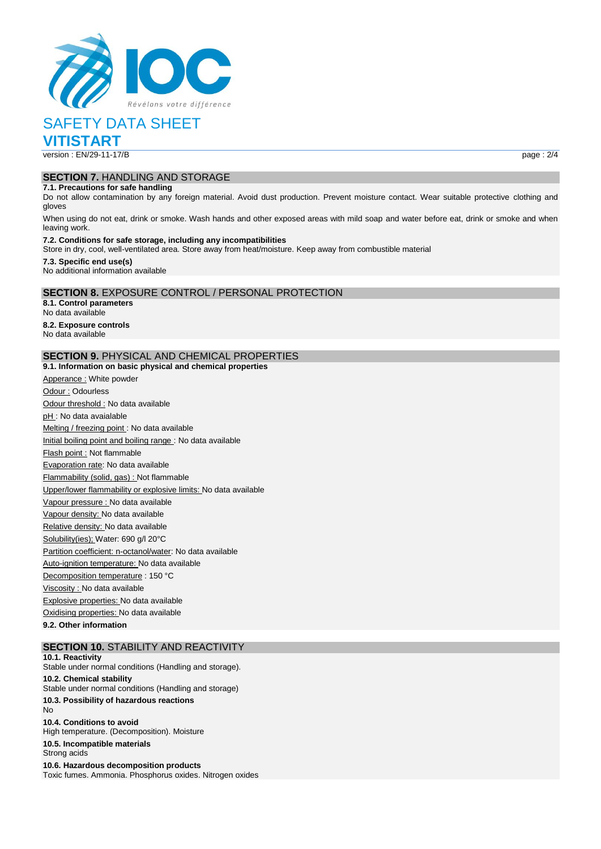

# SAFETY DATA SHEET

**VITISTART**

version : EN/29-11-17/B page : 2/4

# **SECTION 7.** HANDLING AND STORAGE

### **7.1. Precautions for safe handling**

Do not allow contamination by any foreign material. Avoid dust production. Prevent moisture contact. Wear suitable protective clothing and gloves

When using do not eat, drink or smoke. Wash hands and other exposed areas with mild soap and water before eat, drink or smoke and when leaving work.

#### **7.2. Conditions for safe storage, including any incompatibilities**

Store in dry, cool, well-ventilated area. Store away from heat/moisture. Keep away from combustible material

#### **7.3. Specific end use(s)** No additional information available

### **SECTION 8.** EXPOSURE CONTROL / PERSONAL PROTECTION

**8.1. Control parameters** No data available **8.2. Exposure controls** No data available

## **SECTION 9.** PHYSICAL AND CHEMICAL PROPERTIES

**9.1. Information on basic physical and chemical properties** Apperance : White powder Odour : Odourless Odour threshold : No data available pH : No data avaialable Melting / freezing point : No data available Initial boiling point and boiling range : No data available Flash point : Not flammable Evaporation rate: No data available Flammability (solid, gas) : Not flammable Upper/lower flammability or explosive limits: No data available Vapour pressure : No data available Vapour density: No data available Relative density: No data available Solubility(ies); Water: 690 g/l 20°C Partition coefficient: n-octanol/water: No data available Auto-ignition temperature: No data available Decomposition temperature : 150 °C Viscosity : No data available Explosive properties: No data available Oxidising properties: No data available

**9.2. Other information**

#### **SECTION 10.** STABILITY AND REACTIVITY **10.1. Reactivity**

Stable under normal conditions (Handling and storage). **10.2. Chemical stability** Stable under normal conditions (Handling and storage) **10.3. Possibility of hazardous reactions** No **10.4. Conditions to avoid** High temperature. (Decomposition). Moisture **10.5. Incompatible materials** Strong acids

**10.6. Hazardous decomposition products** Toxic fumes. Ammonia. Phosphorus oxides. Nitrogen oxides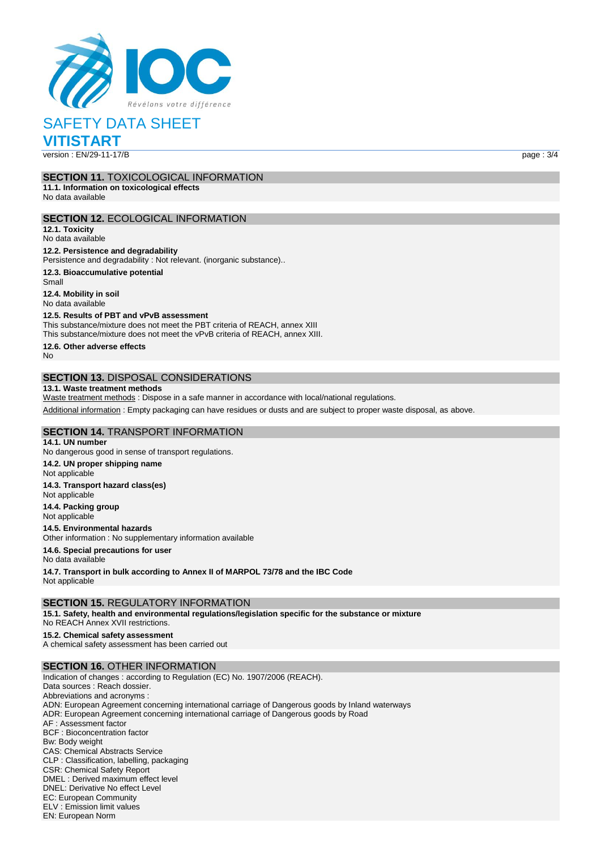

SAFETY DATA SHEET

**VITISTART**

version : EN/29-11-17/B page : 3/4

## **SECTION 11.** TOXICOLOGICAL INFORMATION

**11.1. Information on toxicological effects** No data available

## **SECTION 12.** ECOLOGICAL INFORMATION

**12.1. Toxicity** No data available

#### **12.2. Persistence and degradability**

Persistence and degradability : Not relevant. (inorganic substance)..

**12.3. Bioaccumulative potential**

Small **12.4. Mobility in soil** No data available

#### **12.5. Results of PBT and vPvB assessment**

This substance/mixture does not meet the PBT criteria of REACH, annex XIII This substance/mixture does not meet the vPvB criteria of REACH, annex XIII.

**12.6. Other adverse effects**

No

## **SECTION 13.** DISPOSAL CONSIDERATIONS

#### **13.1. Waste treatment methods**

Waste treatment methods : Dispose in a safe manner in accordance with local/national regulations.

Additional information : Empty packaging can have residues or dusts and are subject to proper waste disposal, as above.

## **SECTION 14.** TRANSPORT INFORMATION

**14.1. UN number** No dangerous good in sense of transport regulations. **14.2. UN proper shipping name** Not applicable **14.3. Transport hazard class(es)** Not applicable **14.4. Packing group** Not applicable **14.5. Environmental hazards** Other information : No supplementary information available **14.6. Special precautions for user** No data available **14.7. Transport in bulk according to Annex II of MARPOL 73/78 and the IBC Code** Not applicable

**SECTION 15.** REGULATORY INFORMATION

**15.1. Safety, health and environmental regulations/legislation specific for the substance or mixture**

No REACH Annex XVII restrictions.

**15.2. Chemical safety assessment** A chemical safety assessment has been carried out

### **SECTION 16.** OTHER INFORMATION

Indication of changes : according to Regulation (EC) No. 1907/2006 (REACH). Data sources : Reach dossier. Abbreviations and acronyms : ADN: European Agreement concerning international carriage of Dangerous goods by Inland waterways ADR: European Agreement concerning international carriage of Dangerous goods by Road AF : Assessment factor BCF : Bioconcentration factor Bw: Body weight CAS: Chemical Abstracts Service CLP : Classification, labelling, packaging CSR: Chemical Safety Report DMEL : Derived maximum effect level DNEL: Derivative No effect Level EC: European Community ELV : Emission limit values

EN: European Norm